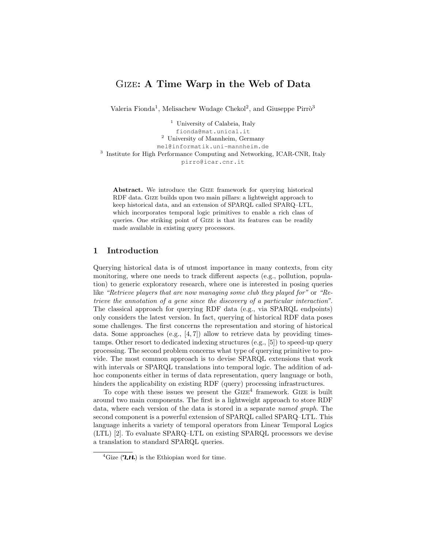# Gize: A Time Warp in the Web of Data

Valeria Fionda<sup>1</sup>, Melisachew Wudage Chekol<sup>2</sup>, and Giuseppe Pirrò<sup>3</sup>

<sup>1</sup> University of Calabria, Italy fionda@mat.unical.it <sup>2</sup> University of Mannheim, Germany mel@informatik.uni-mannheim.de <sup>3</sup> Institute for High Performance Computing and Networking, ICAR-CNR, Italy pirro@icar.cnr.it

Abstract. We introduce the Gize framework for querying historical RDF data. Gize builds upon two main pillars: a lightweight approach to keep historical data, and an extension of SPARQL called SPARQ–LTL, which incorporates temporal logic primitives to enable a rich class of queries. One striking point of Gize is that its features can be readily made available in existing query processors.

#### 1 Introduction

Querying historical data is of utmost importance in many contexts, from city monitoring, where one needs to track different aspects (e.g., pollution, population) to generic exploratory research, where one is interested in posing queries like "Retrieve players that are now managing some club they played for" or "Retrieve the annotation of a gene since the discovery of a particular interaction". The classical approach for querying RDF data (e.g., via SPARQL endpoints) only considers the latest version. In fact, querying of historical RDF data poses some challenges. The first concerns the representation and storing of historical data. Some approaches (e.g.,  $[4, 7]$ ) allow to retrieve data by providing timestamps. Other resort to dedicated indexing structures (e.g., [5]) to speed-up query processing. The second problem concerns what type of querying primitive to provide. The most common approach is to devise SPARQL extensions that work with intervals or SPARQL translations into temporal logic. The addition of adhoc components either in terms of data representation, query language or both, hinders the applicability on existing RDF (query) processing infrastructures.

To cope with these issues we present the  $GIZE<sup>4</sup>$  framework. GIZE is built around two main components. The first is a lightweight approach to store RDF data, where each version of the data is stored in a separate named graph. The second component is a powerful extension of SPARQL called SPARQ–LTL. This language inherits a variety of temporal operators from Linear Temporal Logics (LTL) [2]. To evaluate SPARQ–LTL on existing SPARQL processors we devise a translation to standard SPARQL queries.

<sup>&</sup>lt;sup>4</sup>Gize ( $2H$ ) is the Ethiopian word for time.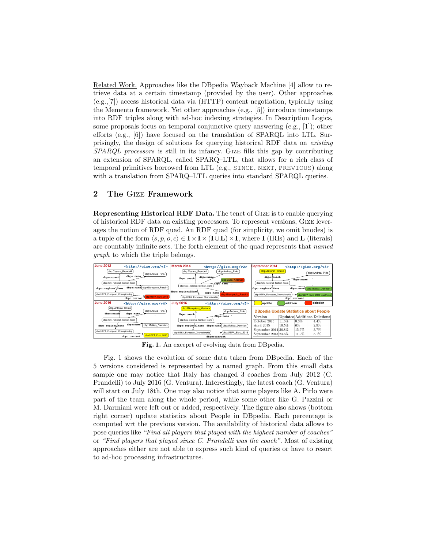Related Work. Approaches like the DBpedia Wayback Machine [4] allow to retrieve data at a certain timestamp (provided by the user). Other approaches (e.g.,[7]) access historical data via (HTTP) content negotiation, typically using the Memento framework. Yet other approaches (e.g., [5]) introduce timestamps into RDF triples along with ad-hoc indexing strategies. In Description Logics, some proposals focus on temporal conjunctive query answering (e.g., [1]); other efforts (e.g., [6]) have focused on the translation of SPARQL into LTL. Surprisingly, the design of solutions for querying historical RDF data on existing SPARQL processors is still in its infancy. Gize fills this gap by contributing an extension of SPARQL, called SPARQ–LTL, that allows for a rich class of temporal primitives borrowed from LTL (e.g., SINCE, NEXT, PREVIOUS) along with a translation from SPARQ–LTL queries into standard SPARQL queries.

## 2 The Gize Framework

Representing Historical RDF Data. The tenet of Gize is to enable querying of historical RDF data on existing processors. To represent versions, Gize leverages the notion of RDF quad. An RDF quad (for simplicity, we omit bnodes) is a tuple of the form  $\langle s, p, o, c \rangle \in I \times I \times (I \cup L) \times I$ , where I (IRIs) and L (literals) are countably infinite sets. The forth element of the quad represents that named graph to which the triple belongs.



Fig. 1. An exceprt of evolving data from DBpedia.

Fig. 1 shows the evolution of some data taken from DBpedia. Each of the 5 versions considered is represented by a named graph. From this small data sample one may notice that Italy has changed 3 coaches from July 2012 (C. Prandelli) to July 2016 (G. Ventura). Interestingly, the latest coach (G. Ventura) will start on July 18th. One may also notice that some players like A. Pirlo were part of the team along the whole period, while some other like G. Pazzini or M. Darmiani were left out or added, respectively. The figure also shows (bottom right corner) update statistics about People in DBpedia. Each percentage is computed wrt the previous version. The availability of historical data allows to pose queries like "Find all players that played with the highest number of coaches" or "Find players that played since C. Prandelli was the coach". Most of existing approaches either are not able to express such kind of queries or have to resort to ad-hoc processing infrastructures.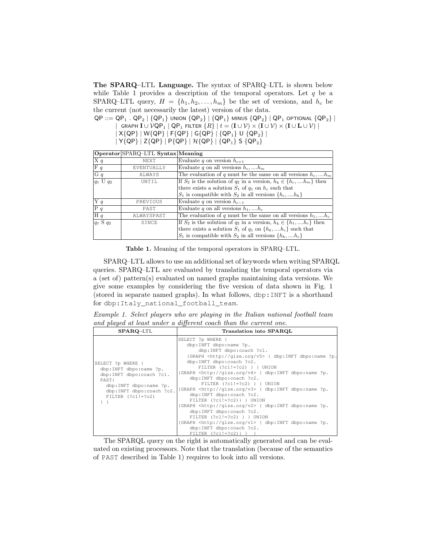The SPARQ–LTL Language. The syntax of SPARQ–LTL is shown below while Table 1 provides a description of the temporal operators. Let  $q$  be a SPARQ–LTL query,  $H = \{h_1, h_2, \ldots, h_m\}$  be the set of versions, and  $h_c$  be the current (not necessarily the latest) version of the data.

 $QP ::= QP_1$  .  $QP_2 | \{QP_1\}$  union  $\{QP_2\} | \{QP_1\}$  minus  $\{QP_2\} | QP_1$  optional  $\{QP_2\} |$ 

 $|$  Graph  $I ∪ ∨ QP_1 | QP_1$  filter  ${R} | t = (I ∪ ∤) × (I ∪ ∛) × (I ∪ L ∪ ∨)$ 

- $| X \{ QP\} | W \{ QP\} | F \{ QP\} | G \{ QP\} | \{ QP_1\} U \{ QP_2\} |$
- $| Y \{ QP \} | Z \{ QP \} | P \{ QP \} | H \{ QP \} | \{ QP_1 \} S \{ QP_2 \}$

|                          | Operator SPARQ-LTL Syntax Meaning |                                                                               |
|--------------------------|-----------------------------------|-------------------------------------------------------------------------------|
| X q                      | NEXT                              | Evaluate q on version $h_{c+1}$                                               |
| F q                      | EVENTUALLY                        | Evaluate q on all versions $h_c, \dots, h_m$                                  |
| G q                      | ALWAYS                            | The evaluation of q must be the same on all versions $h_c, \dots, h_m$        |
| $ q_1 \overline{U q_2} $ | UNTIL                             | If $S_2$ is the solution of $q_2$ in a version, $h_k \in \{h_c, , h_m\}$ then |
|                          |                                   | there exists a solution $S_1$ of $q_1$ on $h_c$ such that                     |
|                          |                                   | $S_1$ is compatible with $S_2$ in all versions $\{h_c, , h_k\}$               |
| Y q                      | PREVIOUS                          | Evaluate q on version $h_{c-1}$                                               |
| P q                      | PAST                              | Evaluate q on all versions $h_1, , h_c$                                       |
| H q                      | ALWAYSPAST                        | The evaluation of q must be the same on all versions $h_1, , h_c$             |
| $q_1$ S $q_2$            | SINCE                             | If $S_2$ is the solution of $q_2$ in a version, $h_k \in \{h_1, , h_c\}$ then |
|                          |                                   | there exists a solution $S_1$ of $q_1$ on $\{h_k, , h_c\}$ such that          |
|                          |                                   | $S_1$ is compatible with $S_2$ in all versions $\{h_k, , h_c\}$               |

Table 1. Meaning of the temporal operators in SPARQ–LTL.

SPARQ–LTL allows to use an additional set of keywords when writing SPARQL queries. SPARQ–LTL are evaluated by translating the temporal operators via a (set of) pattern(s) evaluated on named graphs maintaining data versions. We give some examples by considering the five version of data shown in Fig. 1 (stored in separate named graphs). In what follows, dbp:INFT is a shorthand for dbp:Italy\_national\_football\_team.

Example 1. Select players who are playing in the Italian national football team and played at least under a different coach than the current one.

| SPARQ-LTL                                                                                                                                                             | Translation into SPARQL                                                                                                                                                                                                                                                                                                                                                                                                                                                                                                                                                                                                                                                                                                                                                                                          |
|-----------------------------------------------------------------------------------------------------------------------------------------------------------------------|------------------------------------------------------------------------------------------------------------------------------------------------------------------------------------------------------------------------------------------------------------------------------------------------------------------------------------------------------------------------------------------------------------------------------------------------------------------------------------------------------------------------------------------------------------------------------------------------------------------------------------------------------------------------------------------------------------------------------------------------------------------------------------------------------------------|
| SELECT ?p WHERE {<br>dbp:INFT dbpo:name ?p.<br>dbp:INFT dbpo:coach ?c1.<br>PAST{<br>dbp:INFT dbpo:name ?p.<br>dbp:INFT dbpo:coach ?c2.<br>FILTER $(?c1!=?c2)$<br>$\}$ | SELECT ?p WHERE {<br>dbp:INFT dbpo:name ?p.<br>dbp:INFT dbpo:coach ?c1.<br>{GRAPH <http: qize.org="" v5=""> { dbp:INFT dbpo:name ?p.<br/>dbp:INFT dbpo:coach ?c2.<br/>FILTER <math>(?c1!=?c2)</math> } } UNION<br/>{GRAPH <http: qize.org="" v4=""> { dbp:INFT dbpo:name ?p.<br/>dbp:INFT dbpo:coach ?c2.<br/>FILTER <math>(?c1!=?c2)</math> } } UNION<br/>{GRAPH <http: qize.org="" v3=""> { dbp:INFT dbpo:name ?p.<br/>dbp:INFT dbpo:coach ?c2.<br/>FILTER <math>(?c1!=?c2)</math> } } UNION<br/>{GRAPH <http: qize.org="" v2=""> { dbp:INFT dbpo:name ?p.<br/>dbp:INFT dbpo:coach ?c2.<br/>FILTER <math>(?c1!=?c2)</math> } } UNION<br/>{GRAPH <http: qize.org="" v1=""> { dbp:INFT dbpo:name ?p.<br/>dbp:INFT dbpo:coach ?c2.<br/>FILTER <math>(?c1!=?c2)</math> } }</http:></http:></http:></http:></http:> |

The SPARQL query on the right is automatically generated and can be evaluated on existing processors. Note that the translation (because of the semantics of PAST described in Table 1) requires to look into all versions.